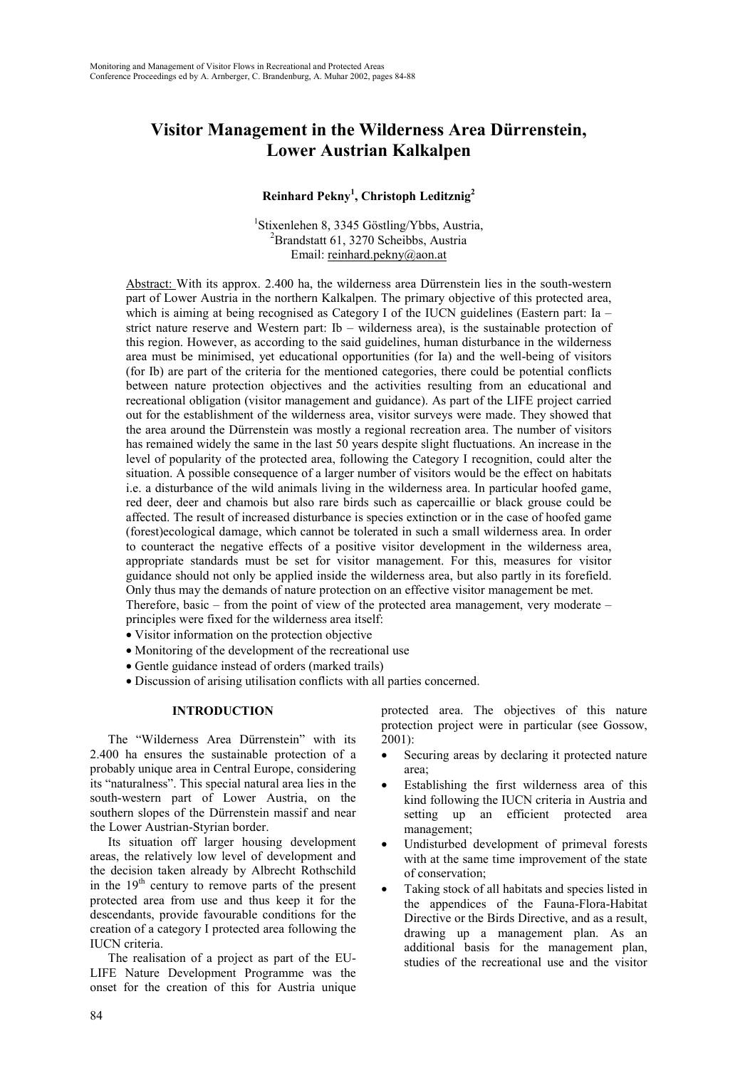## **Visitor Management in the Wilderness Area Dürrenstein, Lower Austrian Kalkalpen**

#### **Reinhard Pekny<sup>1</sup> , Christoph Leditznig<sup>2</sup>**

<sup>1</sup>Stixenlehen 8, 3345 Göstling/Ybbs, Austria, <sup>2</sup>Brandstatt 61, 3270 Scheibbs, Austria Email: reinhard.pekny@aon.at

Abstract: With its approx. 2.400 ha, the wilderness area Dürrenstein lies in the south-western part of Lower Austria in the northern Kalkalpen. The primary objective of this protected area, which is aiming at being recognised as Category I of the IUCN guidelines (Eastern part: Ia – strict nature reserve and Western part: Ib – wilderness area), is the sustainable protection of this region. However, as according to the said guidelines, human disturbance in the wilderness area must be minimised, yet educational opportunities (for Ia) and the well-being of visitors (for Ib) are part of the criteria for the mentioned categories, there could be potential conflicts between nature protection objectives and the activities resulting from an educational and recreational obligation (visitor management and guidance). As part of the LIFE project carried out for the establishment of the wilderness area, visitor surveys were made. They showed that the area around the Dürrenstein was mostly a regional recreation area. The number of visitors has remained widely the same in the last 50 years despite slight fluctuations. An increase in the level of popularity of the protected area, following the Category I recognition, could alter the situation. A possible consequence of a larger number of visitors would be the effect on habitats i.e. a disturbance of the wild animals living in the wilderness area. In particular hoofed game, red deer, deer and chamois but also rare birds such as capercaillie or black grouse could be affected. The result of increased disturbance is species extinction or in the case of hoofed game (forest)ecological damage, which cannot be tolerated in such a small wilderness area. In order to counteract the negative effects of a positive visitor development in the wilderness area, appropriate standards must be set for visitor management. For this, measures for visitor guidance should not only be applied inside the wilderness area, but also partly in its forefield. Only thus may the demands of nature protection on an effective visitor management be met.

Therefore, basic – from the point of view of the protected area management, very moderate – principles were fixed for the wilderness area itself:

- Visitor information on the protection objective
- Monitoring of the development of the recreational use
- Gentle guidance instead of orders (marked trails)
- Discussion of arising utilisation conflicts with all parties concerned.

#### **INTRODUCTION**

The "Wilderness Area Dürrenstein" with its 2.400 ha ensures the sustainable protection of a probably unique area in Central Europe, considering its "naturalness". This special natural area lies in the south-western part of Lower Austria, on the southern slopes of the Dürrenstein massif and near the Lower Austrian-Styrian border.

Its situation off larger housing development areas, the relatively low level of development and the decision taken already by Albrecht Rothschild in the  $19<sup>th</sup>$  century to remove parts of the present protected area from use and thus keep it for the descendants, provide favourable conditions for the creation of a category I protected area following the IUCN criteria.

The realisation of a project as part of the EU-LIFE Nature Development Programme was the onset for the creation of this for Austria unique protected area. The objectives of this nature protection project were in particular (see Gossow, 2001):

- Securing areas by declaring it protected nature area;
- Establishing the first wilderness area of this kind following the IUCN criteria in Austria and setting up an efficient protected area management;
- Undisturbed development of primeval forests with at the same time improvement of the state of conservation;
- Taking stock of all habitats and species listed in the appendices of the Fauna-Flora-Habitat Directive or the Birds Directive, and as a result, drawing up a management plan. As an additional basis for the management plan, studies of the recreational use and the visitor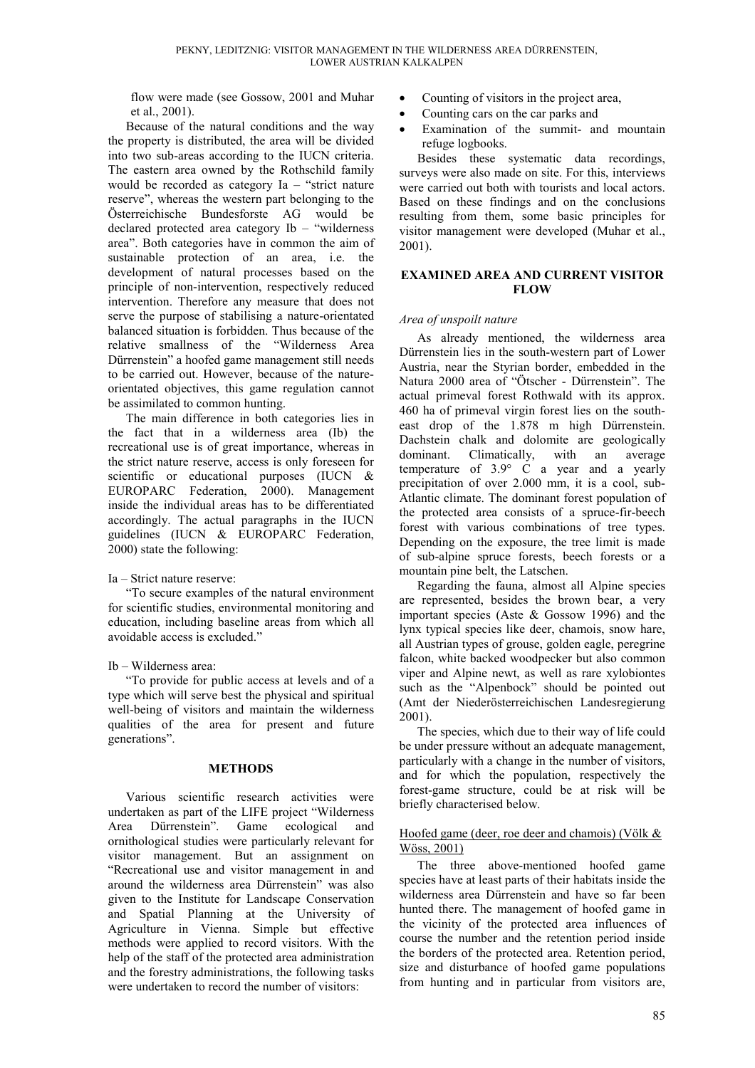flow were made (see Gossow, 2001 and Muhar et al., 2001).

Because of the natural conditions and the way the property is distributed, the area will be divided into two sub-areas according to the IUCN criteria. The eastern area owned by the Rothschild family would be recorded as category Ia – "strict nature reserve", whereas the western part belonging to the Österreichische Bundesforste AG would be declared protected area category Ib – "wilderness area". Both categories have in common the aim of sustainable protection of an area, i.e. the development of natural processes based on the principle of non-intervention, respectively reduced intervention. Therefore any measure that does not serve the purpose of stabilising a nature-orientated balanced situation is forbidden. Thus because of the relative smallness of the "Wilderness Area Dürrenstein" a hoofed game management still needs to be carried out. However, because of the natureorientated objectives, this game regulation cannot be assimilated to common hunting.

The main difference in both categories lies in the fact that in a wilderness area (Ib) the recreational use is of great importance, whereas in the strict nature reserve, access is only foreseen for scientific or educational purposes (IUCN & EUROPARC Federation, 2000). Management inside the individual areas has to be differentiated accordingly. The actual paragraphs in the IUCN guidelines (IUCN & EUROPARC Federation, 2000) state the following:

#### Ia – Strict nature reserve:

"To secure examples of the natural environment for scientific studies, environmental monitoring and education, including baseline areas from which all avoidable access is excluded."

#### Ib – Wilderness area:

"To provide for public access at levels and of a type which will serve best the physical and spiritual well-being of visitors and maintain the wilderness qualities of the area for present and future generations".

#### **METHODS**

Various scientific research activities were undertaken as part of the LIFE project "Wilderness Area Dürrenstein". Game ecological and ornithological studies were particularly relevant for visitor management. But an assignment on "Recreational use and visitor management in and around the wilderness area Dürrenstein" was also given to the Institute for Landscape Conservation and Spatial Planning at the University of Agriculture in Vienna. Simple but effective methods were applied to record visitors. With the help of the staff of the protected area administration and the forestry administrations, the following tasks were undertaken to record the number of visitors:

- Counting of visitors in the project area,
- Counting cars on the car parks and
- Examination of the summit- and mountain refuge logbooks.

Besides these systematic data recordings, surveys were also made on site. For this, interviews were carried out both with tourists and local actors. Based on these findings and on the conclusions resulting from them, some basic principles for visitor management were developed (Muhar et al., 2001).

#### **EXAMINED AREA AND CURRENT VISITOR FLOW**

#### *Area of unspoilt nature*

As already mentioned, the wilderness area Dürrenstein lies in the south-western part of Lower Austria, near the Styrian border, embedded in the Natura 2000 area of "Ötscher - Dürrenstein". The actual primeval forest Rothwald with its approx. 460 ha of primeval virgin forest lies on the southeast drop of the 1.878 m high Dürrenstein. Dachstein chalk and dolomite are geologically dominant. Climatically, with an average temperature of 3.9° C a year and a yearly precipitation of over 2.000 mm, it is a cool, sub-Atlantic climate. The dominant forest population of the protected area consists of a spruce-fir-beech forest with various combinations of tree types. Depending on the exposure, the tree limit is made of sub-alpine spruce forests, beech forests or a mountain pine belt, the Latschen.

Regarding the fauna, almost all Alpine species are represented, besides the brown bear, a very important species (Aste & Gossow 1996) and the lynx typical species like deer, chamois, snow hare, all Austrian types of grouse, golden eagle, peregrine falcon, white backed woodpecker but also common viper and Alpine newt, as well as rare xylobiontes such as the "Alpenbock" should be pointed out (Amt der Niederösterreichischen Landesregierung 2001).

The species, which due to their way of life could be under pressure without an adequate management, particularly with a change in the number of visitors, and for which the population, respectively the forest-game structure, could be at risk will be briefly characterised below.

#### Hoofed game (deer, roe deer and chamois) (Völk & Wöss, 2001)

The three above-mentioned hoofed game species have at least parts of their habitats inside the wilderness area Dürrenstein and have so far been hunted there. The management of hoofed game in the vicinity of the protected area influences of course the number and the retention period inside the borders of the protected area. Retention period, size and disturbance of hoofed game populations from hunting and in particular from visitors are,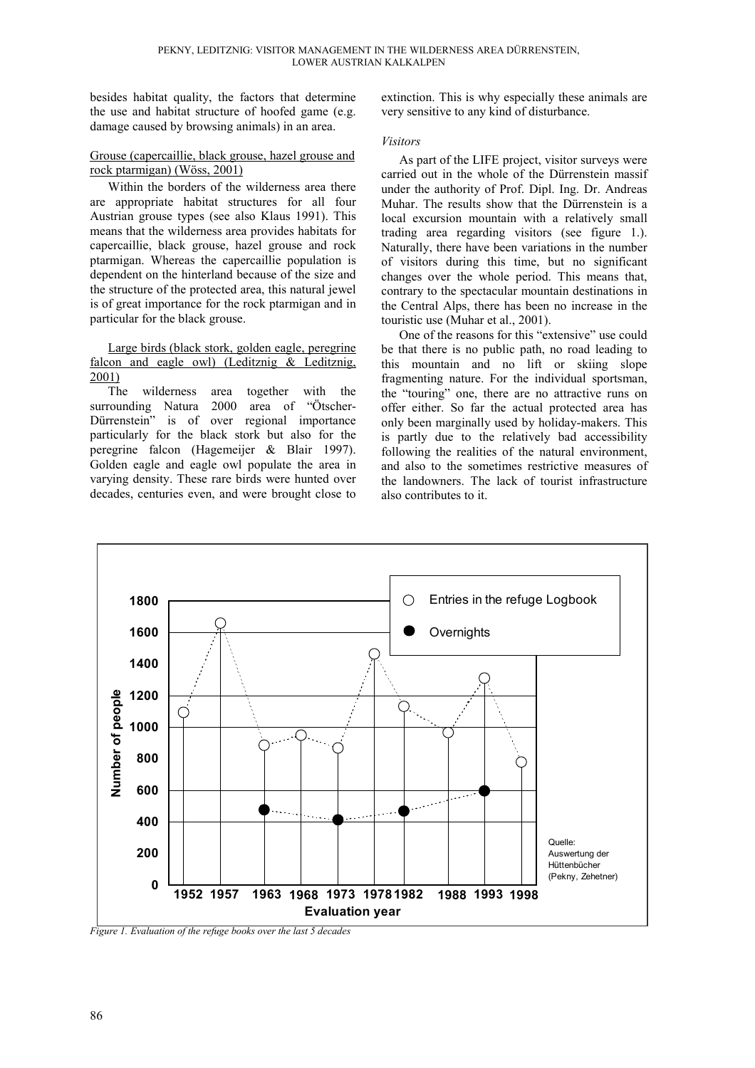besides habitat quality, the factors that determine the use and habitat structure of hoofed game (e.g. damage caused by browsing animals) in an area.

#### Grouse (capercaillie, black grouse, hazel grouse and rock ptarmigan) (Wöss, 2001)

Within the borders of the wilderness area there are appropriate habitat structures for all four Austrian grouse types (see also Klaus 1991). This means that the wilderness area provides habitats for capercaillie, black grouse, hazel grouse and rock ptarmigan. Whereas the capercaillie population is dependent on the hinterland because of the size and the structure of the protected area, this natural jewel is of great importance for the rock ptarmigan and in particular for the black grouse.

#### Large birds (black stork, golden eagle, peregrine falcon and eagle owl) (Leditznig & Leditznig, 2001)

The wilderness area together with the surrounding Natura 2000 area of "Ötscher-Dürrenstein" is of over regional importance particularly for the black stork but also for the peregrine falcon (Hagemeijer & Blair 1997). Golden eagle and eagle owl populate the area in varying density. These rare birds were hunted over decades, centuries even, and were brought close to extinction. This is why especially these animals are very sensitive to any kind of disturbance.

#### *Visitors*

As part of the LIFE project, visitor surveys were carried out in the whole of the Dürrenstein massif under the authority of Prof. Dipl. Ing. Dr. Andreas Muhar. The results show that the Dürrenstein is a local excursion mountain with a relatively small trading area regarding visitors (see figure 1.). Naturally, there have been variations in the number of visitors during this time, but no significant changes over the whole period. This means that, contrary to the spectacular mountain destinations in the Central Alps, there has been no increase in the touristic use (Muhar et al., 2001).

One of the reasons for this "extensive" use could be that there is no public path, no road leading to this mountain and no lift or skiing slope fragmenting nature. For the individual sportsman, the "touring" one, there are no attractive runs on offer either. So far the actual protected area has only been marginally used by holiday-makers. This is partly due to the relatively bad accessibility following the realities of the natural environment, and also to the sometimes restrictive measures of the landowners. The lack of tourist infrastructure also contributes to it.



*Figure 1. Evaluation of the refuge books over the last 5 decades*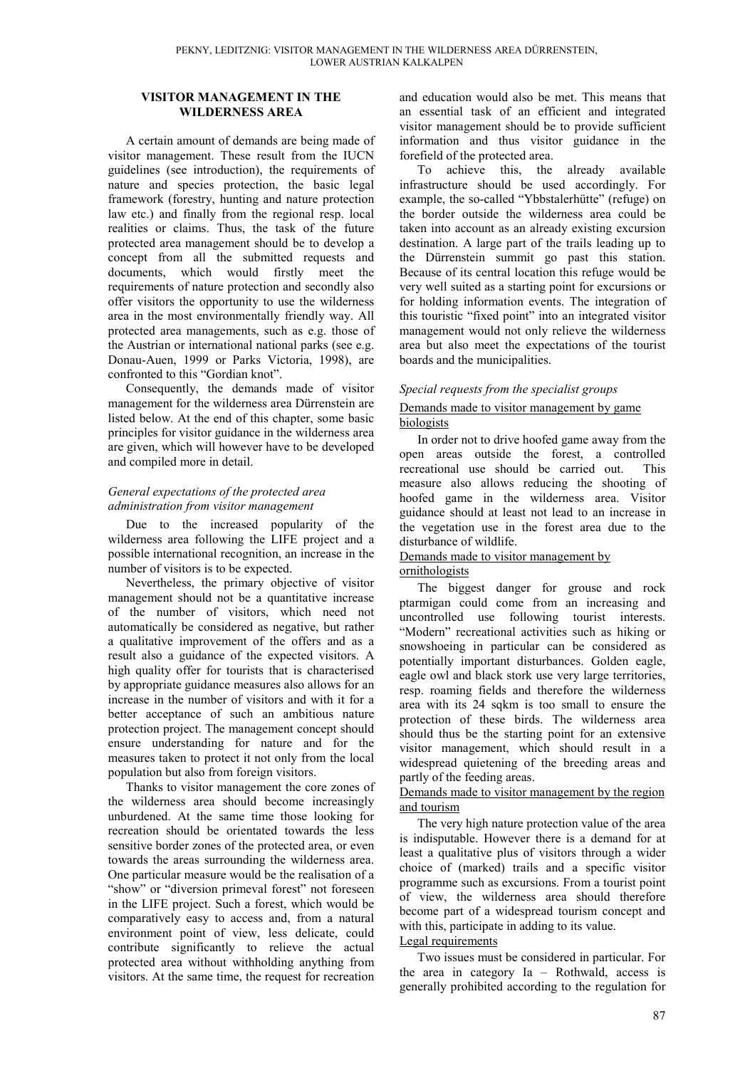#### **VISITOR MANAGEMENT IN THE WILDERNESS AREA**

A certain amount of demands are being made of visitor management. These result from the IUCN guidelines (see introduction), the requirements of nature and species protection, the basic legal framework (forestry, hunting and nature protection law etc.) and finally from the regional resp. local realities or claims. Thus, the task of the future protected area management should be to develop a concept from all the submitted requests and documents, which would firstly meet the requirements of nature protection and secondly also offer visitors the opportunity to use the wilderness area in the most environmentally friendly way. All protected area managements, such as e.g. those of the Austrian or international national parks (see e.g. Donau-Auen, 1999 or Parks Victoria, 1998), are confronted to this "Gordian knot".

Consequently, the demands made of visitor management for the wilderness area Dürrenstein are listed below. At the end of this chapter, some basic principles for visitor guidance in the wilderness area are given, which will however have to be developed and compiled more in detail.

#### *General expectations of the protected area administration from visitor management*

Due to the increased popularity of the wilderness area following the LIFE project and a possible international recognition, an increase in the number of visitors is to be expected.

Nevertheless, the primary objective of visitor management should not be a quantitative increase of the number of visitors, which need not automatically be considered as negative, but rather a qualitative improvement of the offers and as a result also a guidance of the expected visitors. A high quality offer for tourists that is characterised by appropriate guidance measures also allows for an increase in the number of visitors and with it for a better acceptance of such an ambitious nature protection project. The management concept should ensure understanding for nature and for the measures taken to protect it not only from the local population but also from foreign visitors.

Thanks to visitor management the core zones of the wilderness area should become increasingly unburdened. At the same time those looking for recreation should be orientated towards the less sensitive border zones of the protected area, or even towards the areas surrounding the wilderness area. One particular measure would be the realisation of a "show" or "diversion primeval forest" not foreseen in the LIFE project. Such a forest, which would be comparatively easy to access and, from a natural environment point of view, less delicate, could contribute significantly to relieve the actual protected area without withholding anything from visitors. At the same time, the request for recreation

and education would also be met. This means that an essential task of an efficient and integrated visitor management should be to provide sufficient information and thus visitor guidance in the forefield of the protected area.

To achieve this, the already available infrastructure should be used accordingly. For example, the so-called "Ybbstalerhütte" (refuge) on the border outside the wilderness area could be taken into account as an already existing excursion destination. A large part of the trails leading up to the Dürrenstein summit go past this station. Because of its central location this refuge would be very well suited as a starting point for excursions or for holding information events. The integration of this touristic "fixed point" into an integrated visitor management would not only relieve the wilderness area but also meet the expectations of the tourist boards and the municipalities.

#### *Special requests from the specialist groups*

#### Demands made to visitor management by game biologists

In order not to drive hoofed game away from the open areas outside the forest, a controlled recreational use should be carried out. This measure also allows reducing the shooting of hoofed game in the wilderness area. Visitor guidance should at least not lead to an increase in the vegetation use in the forest area due to the disturbance of wildlife.

# Demands made to visitor management by

### ornithologists

The biggest danger for grouse and rock ptarmigan could come from an increasing and uncontrolled use following tourist interests. "Modern" recreational activities such as hiking or snowshoeing in particular can be considered as potentially important disturbances. Golden eagle, eagle owl and black stork use very large territories, resp. roaming fields and therefore the wilderness area with its 24 sqkm is too small to ensure the protection of these birds. The wilderness area should thus be the starting point for an extensive visitor management, which should result in a widespread quietening of the breeding areas and partly of the feeding areas.

#### Demands made to visitor management by the region and tourism

The very high nature protection value of the area is indisputable. However there is a demand for at least a qualitative plus of visitors through a wider choice of (marked) trails and a specific visitor programme such as excursions. From a tourist point of view, the wilderness area should therefore become part of a widespread tourism concept and with this, participate in adding to its value.

#### Legal requirements

Two issues must be considered in particular. For the area in category Ia – Rothwald, access is generally prohibited according to the regulation for